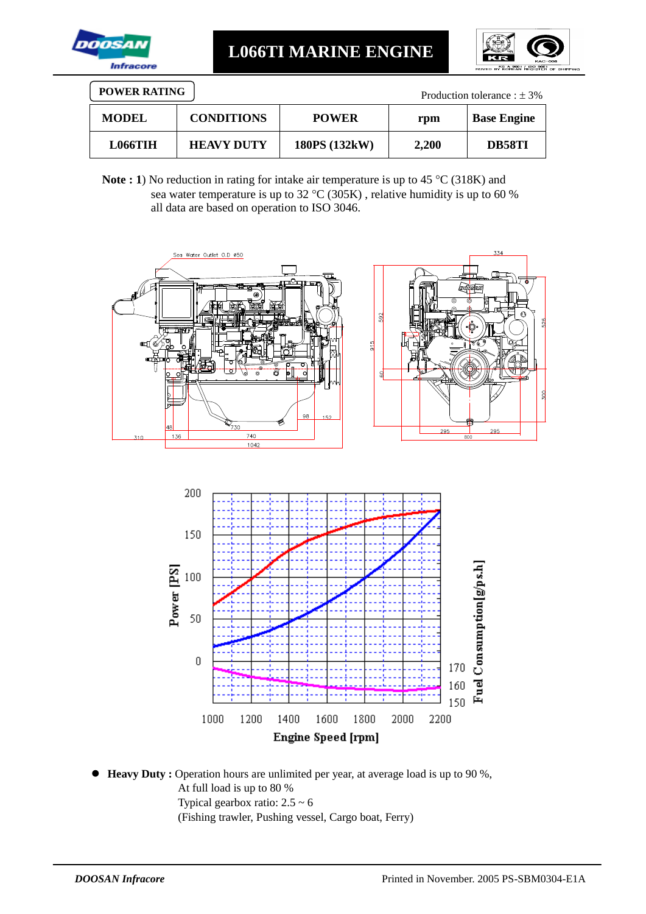

**L066TI MARINE ENGINE**



| <b>POWER RATING</b><br>Production tolerance : $\pm$ 3% |                   |               |       |                    |  |
|--------------------------------------------------------|-------------------|---------------|-------|--------------------|--|
| <b>MODEL</b>                                           | <b>CONDITIONS</b> | <b>POWER</b>  | rpm   | <b>Base Engine</b> |  |
| <b>L066TIH</b>                                         | <b>HEAVY DUTY</b> | 180PS (132kW) | 2.200 | DB58TI             |  |

**Note : 1**) No reduction in rating for intake air temperature is up to 45 °C (318K) and sea water temperature is up to 32 °C (305K), relative humidity is up to 60 % all data are based on operation to ISO 3046.



 **Heavy Duty :** Operation hours are unlimited per year, at average load is up to 90 %, At full load is up to 80 % Typical gearbox ratio:  $2.5 \sim 6$ (Fishing trawler, Pushing vessel, Cargo boat, Ferry)